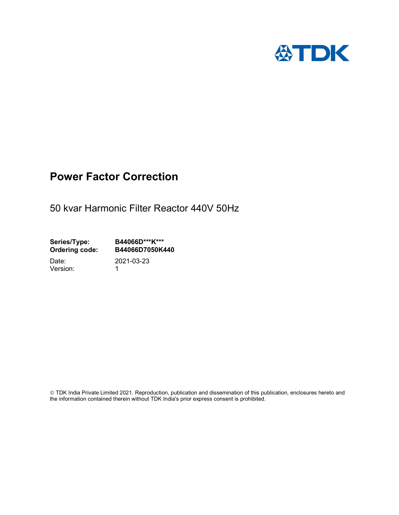

## Power Factor Correction

50 kvar Harmonic Filter Reactor 440V 50Hz

Series/Type: B44066D\*\*\*K\*\*\*<br>Ordering code: B44066D7050K4 B44066D7050K440

Version: 1

Date: 2021-03-23

 TDK India Private Limited 2021. Reproduction, publication and dissemination of this publication, enclosures hereto and the information contained therein without TDK India's prior express consent is prohibited.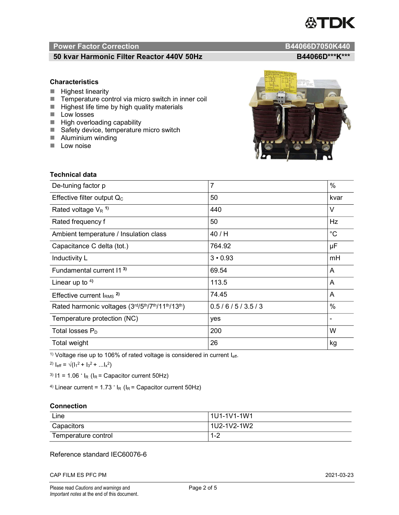# TDK

### Power Factor Correction and Content of the Content of the B44066D7050K440

#### 50 kvar Harmonic Filter Reactor 440V 50Hz B44066D\*\*\*K\*\*\*

#### **Characteristics**

- $H$  Highest linearity
- Temperature control via micro switch in inner coil
- $\blacksquare$  Highest life time by high quality materials
- **Low** losses
- $\blacksquare$  High overloading capability
- Safety device, temperature micro switch
- **Aluminium winding**
- **Low noise**



| Technical data                                  |                |             |  |  |
|-------------------------------------------------|----------------|-------------|--|--|
| De-tuning factor p                              | $\overline{7}$ | $\%$        |  |  |
| Effective filter output $Q_C$                   | 50             | kvar        |  |  |
| Rated voltage $V_R$ <sup>1)</sup>               | 440            | V           |  |  |
| Rated frequency f                               | 50             | Hz          |  |  |
| Ambient temperature / Insulation class          | 40 / H         | $^{\circ}C$ |  |  |
| Capacitance C delta (tot.)                      | 764.92         | μF          |  |  |
| Inductivity L                                   | $3 \cdot 0.93$ | mH          |  |  |
| Fundamental current 11 <sup>3)</sup>            | 69.54          | A           |  |  |
| Linear up to $4$ )                              | 113.5          | A           |  |  |
| Effective current $IRMS$ <sup>2)</sup>          | 74.45          | A           |  |  |
| Rated harmonic voltages (3rd/5th/7th/11th/13th) | 0.5/6/5/3.5/3  | %           |  |  |
| Temperature protection (NC)                     | yes            |             |  |  |
| Total losses $P_D$                              | 200            | W           |  |  |
| Total weight                                    | 26             | kg          |  |  |

<sup>1)</sup> Voltage rise up to 106% of rated voltage is considered in current  $I_{\text{eff}}$ .

<sup>2)</sup>  $I_{eff} = \sqrt{(I_1^2 + I_3^2 + ... I_x^2)}$ 

<sup>3)</sup>  $11 = 1.06$   $\cdot$   $I_R$  ( $I_R$  = Capacitor current 50Hz)

<sup>4)</sup> Linear current =  $1.73$   $\cdot$  I<sub>R</sub> (I<sub>R</sub> = Capacitor current 50Hz)

#### **Connection**

| Line                | l 1U1-1V1-1W1       |
|---------------------|---------------------|
| Capacitors          | l 1U2-1V2-1W2       |
| Temperature control | <u> 4 ຕ</u><br>ے- ا |

#### Reference standard IEC60076-6

CAP FILM ES PFC PM 2021-03-23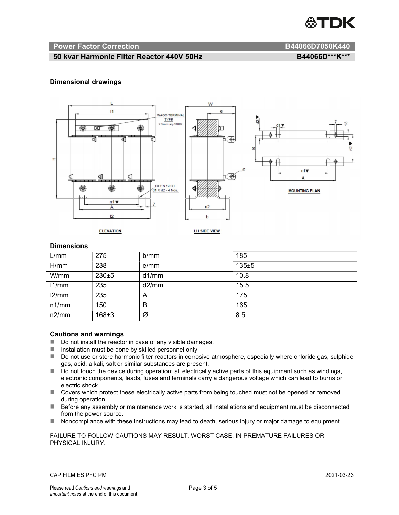

#### Power Factor Correction and B44066D7050K440

#### 50 kvar Harmonic Filter Reactor 440V 50Hz BA4066D\*\*\*K\*\*\*

#### Dimensional drawings



#### **Dimensions**

| L/mm  | 275       | b/mm  | 185   |
|-------|-----------|-------|-------|
| H/mm  | 238       | e/mm  | 135±5 |
| W/mm  | $230 + 5$ | d1/mm | 10.8  |
| 11/mm | 235       | d2/mm | 15.5  |
| 12/mm | 235       | A     | 175   |
| n1/mm | 150       | B     | 165   |
| n2/mm | 168±3     | Ø     | 8.5   |

#### Cautions and warnings

- Do not install the reactor in case of any visible damages.
- $\blacksquare$  Installation must be done by skilled personnel only.
- Do not use or store harmonic filter reactors in corrosive atmosphere, especially where chloride gas, sulphide gas, acid, alkali, salt or similar substances are present.
- $\Box$  Do not touch the device during operation: all electrically active parts of this equipment such as windings, electronic components, leads, fuses and terminals carry a dangerous voltage which can lead to burns or electric shock.
- Covers which protect these electrically active parts from being touched must not be opened or removed during operation.
- Before any assembly or maintenance work is started, all installations and equipment must be disconnected from the power source.
- Noncompliance with these instructions may lead to death, serious injury or major damage to equipment.

#### FAILURE TO FOLLOW CAUTIONS MAY RESULT, WORST CASE, IN PREMATURE FAILURES OR PHYSICAL INJURY.

#### CAP FILM ES PFC PM 2021-03-23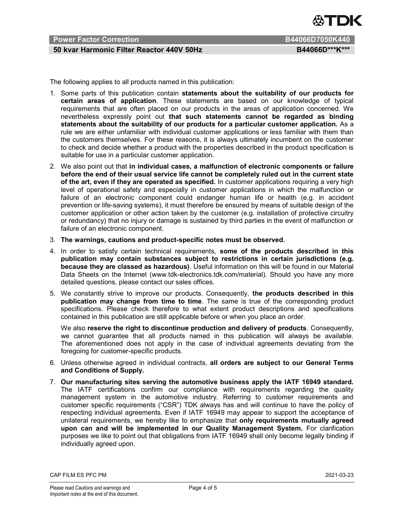

#### 50 kvar Harmonic Filter Reactor 440V 50Hz BA4066D\*\*\*K\*\*\*

The following applies to all products named in this publication:

- 1. Some parts of this publication contain statements about the suitability of our products for certain areas of application. These statements are based on our knowledge of typical requirements that are often placed on our products in the areas of application concerned. We nevertheless expressly point out that such statements cannot be regarded as binding statements about the suitability of our products for a particular customer application. As a rule we are either unfamiliar with individual customer applications or less familiar with them than the customers themselves. For these reasons, it is always ultimately incumbent on the customer to check and decide whether a product with the properties described in the product specification is suitable for use in a particular customer application.
- 2. We also point out that in individual cases, a malfunction of electronic components or failure before the end of their usual service life cannot be completely ruled out in the current state of the art, even if they are operated as specified. In customer applications requiring a very high level of operational safety and especially in customer applications in which the malfunction or failure of an electronic component could endanger human life or health (e.g. in accident prevention or life-saving systems), it must therefore be ensured by means of suitable design of the customer application or other action taken by the customer (e.g. installation of protective circuitry or redundancy) that no injury or damage is sustained by third parties in the event of malfunction or failure of an electronic component.
- 3. The warnings, cautions and product-specific notes must be observed.
- 4. In order to satisfy certain technical requirements, some of the products described in this publication may contain substances subject to restrictions in certain jurisdictions (e.g. because they are classed as hazardous). Useful information on this will be found in our Material Data Sheets on the Internet (www.tdk-electronics.tdk.com/material). Should you have any more detailed questions, please contact our sales offices.
- 5. We constantly strive to improve our products. Consequently, the products described in this publication may change from time to time. The same is true of the corresponding product specifications. Please check therefore to what extent product descriptions and specifications contained in this publication are still applicable before or when you place an order.

We also reserve the right to discontinue production and delivery of products. Consequently, we cannot guarantee that all products named in this publication will always be available. The aforementioned does not apply in the case of individual agreements deviating from the foregoing for customer-specific products.

- 6. Unless otherwise agreed in individual contracts, all orders are subject to our General Terms and Conditions of Supply.
- 7. Our manufacturing sites serving the automotive business apply the IATF 16949 standard. The IATF certifications confirm our compliance with requirements regarding the quality management system in the automotive industry. Referring to customer requirements and customer specific requirements ("CSR") TDK always has and will continue to have the policy of respecting individual agreements. Even if IATF 16949 may appear to support the acceptance of unilateral requirements, we hereby like to emphasize that only requirements mutually agreed upon can and will be implemented in our Quality Management System. For clarification purposes we like to point out that obligations from IATF 16949 shall only become legally binding if individually agreed upon.